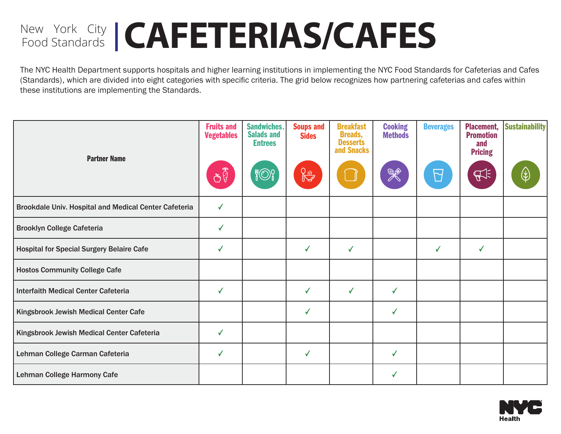# New York City | CAFETERIAS/CAFES

The NYC Health Department supports hospitals and higher learning institutions in implementing the NYC Food Standards for Cafeterias and Cafes (Standards), which are divided into eight categories with specific criteria. The grid below recognizes how partnering cafeterias and cafes within these institutions are implementing the Standards.

| <b>Partner Name</b>                                   | <b>Fruits and</b><br><b>Vegetables</b><br>ðĴ | <b>Sandwiches,</b><br><b>Salads and</b><br><b>Entrees</b><br><b>}</b> ©} | <b>Soups and</b><br><b>Sides</b><br>$\begin{picture}(220,20) \put(0,0){\line(1,0){10}} \put(15,0){\line(1,0){10}} \put(15,0){\line(1,0){10}} \put(15,0){\line(1,0){10}} \put(15,0){\line(1,0){10}} \put(15,0){\line(1,0){10}} \put(15,0){\line(1,0){10}} \put(15,0){\line(1,0){10}} \put(15,0){\line(1,0){10}} \put(15,0){\line(1,0){10}} \put(15,0){\line(1,0){10}} \put(15,0){\line($ | <b>Breakfast</b><br><b>Breads,</b><br><b>Desserts</b><br>and Snacks | <b>Cooking</b><br><b>Methods</b><br>X | <b>Beverages</b><br>M | <b>Placement,</b><br><b>Promotion</b><br>and<br><b>Pricing</b><br>A | <b>Sustainability</b><br>∖≵ |
|-------------------------------------------------------|----------------------------------------------|--------------------------------------------------------------------------|-----------------------------------------------------------------------------------------------------------------------------------------------------------------------------------------------------------------------------------------------------------------------------------------------------------------------------------------------------------------------------------------|---------------------------------------------------------------------|---------------------------------------|-----------------------|---------------------------------------------------------------------|-----------------------------|
| Brookdale Univ. Hospital and Medical Center Cafeteria | √                                            |                                                                          |                                                                                                                                                                                                                                                                                                                                                                                         |                                                                     |                                       |                       |                                                                     |                             |
| <b>Brooklyn College Cafeteria</b>                     | ✓                                            |                                                                          |                                                                                                                                                                                                                                                                                                                                                                                         |                                                                     |                                       |                       |                                                                     |                             |
| <b>Hospital for Special Surgery Belaire Cafe</b>      | √                                            |                                                                          | √                                                                                                                                                                                                                                                                                                                                                                                       | ✓                                                                   |                                       | ✓                     | $\checkmark$                                                        |                             |
| <b>Hostos Community College Cafe</b>                  |                                              |                                                                          |                                                                                                                                                                                                                                                                                                                                                                                         |                                                                     |                                       |                       |                                                                     |                             |
| <b>Interfaith Medical Center Cafeteria</b>            | ✓                                            |                                                                          | ✓                                                                                                                                                                                                                                                                                                                                                                                       | $\checkmark$                                                        | ✓                                     |                       |                                                                     |                             |
| Kingsbrook Jewish Medical Center Cafe                 |                                              |                                                                          |                                                                                                                                                                                                                                                                                                                                                                                         |                                                                     | ✔                                     |                       |                                                                     |                             |
| Kingsbrook Jewish Medical Center Cafeteria            | ✓                                            |                                                                          |                                                                                                                                                                                                                                                                                                                                                                                         |                                                                     |                                       |                       |                                                                     |                             |
| Lehman College Carman Cafeteria                       |                                              |                                                                          | ✓                                                                                                                                                                                                                                                                                                                                                                                       |                                                                     | ✓                                     |                       |                                                                     |                             |
| Lehman College Harmony Cafe                           |                                              |                                                                          |                                                                                                                                                                                                                                                                                                                                                                                         |                                                                     |                                       |                       |                                                                     |                             |

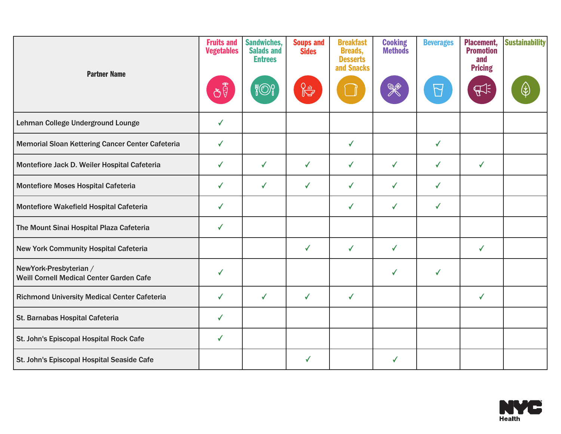| <b>Partner Name</b>                                                | <b>Fruits and</b><br><b>Vegetables</b><br>ðÝ | <b>Sandwiches,</b><br><b>Salads and</b><br><b>Entrees</b> | <b>Soups and</b><br><b>Sides</b><br>$\frac{Q_1 Q_2}{\sqrt{2}}$ | <b>Breakfast</b><br><b>Breads,</b><br><b>Desserts</b><br>and Snacks | <b>Cooking</b><br><b>Methods</b><br>K | <b>Beverages</b><br>$\overline{\mathsf{M}}$ | <b>Placement,</b><br><b>Promotion</b><br>and<br><b>Pricing</b><br>$E_{\pm}$ | <b>Sustainability</b> |
|--------------------------------------------------------------------|----------------------------------------------|-----------------------------------------------------------|----------------------------------------------------------------|---------------------------------------------------------------------|---------------------------------------|---------------------------------------------|-----------------------------------------------------------------------------|-----------------------|
| Lehman College Underground Lounge                                  | ✓                                            |                                                           |                                                                |                                                                     |                                       |                                             |                                                                             |                       |
| Memorial Sloan Kettering Cancer Center Cafeteria                   | ✓                                            |                                                           |                                                                | ✓                                                                   |                                       | ✓                                           |                                                                             |                       |
| Montefiore Jack D. Weiler Hospital Cafeteria                       | ✓                                            | $\checkmark$                                              | ✓                                                              | $\checkmark$                                                        | $\checkmark$                          | $\checkmark$                                | $\checkmark$                                                                |                       |
| Montefiore Moses Hospital Cafeteria                                | ✓                                            | $\checkmark$                                              | ✓                                                              | ✓                                                                   | ✓                                     | $\checkmark$                                |                                                                             |                       |
| Montefiore Wakefield Hospital Cafeteria                            | ✓                                            |                                                           |                                                                | ✓                                                                   | ✓                                     | ✓                                           |                                                                             |                       |
| The Mount Sinai Hospital Plaza Cafeteria                           | ✓                                            |                                                           |                                                                |                                                                     |                                       |                                             |                                                                             |                       |
| New York Community Hospital Cafeteria                              |                                              |                                                           | $\checkmark$                                                   | $\checkmark$                                                        | $\checkmark$                          |                                             | $\checkmark$                                                                |                       |
| NewYork-Presbyterian /<br>Weill Cornell Medical Center Garden Cafe | ✔                                            |                                                           |                                                                |                                                                     | ✓                                     | $\checkmark$                                |                                                                             |                       |
| Richmond University Medical Center Cafeteria                       | ✓                                            | $\checkmark$                                              | $\checkmark$                                                   | $\checkmark$                                                        |                                       |                                             | $\checkmark$                                                                |                       |
| St. Barnabas Hospital Cafeteria                                    | ✓                                            |                                                           |                                                                |                                                                     |                                       |                                             |                                                                             |                       |
| St. John's Episcopal Hospital Rock Cafe                            | ✓                                            |                                                           |                                                                |                                                                     |                                       |                                             |                                                                             |                       |
| St. John's Episcopal Hospital Seaside Cafe                         |                                              |                                                           | ✓                                                              |                                                                     | $\checkmark$                          |                                             |                                                                             |                       |